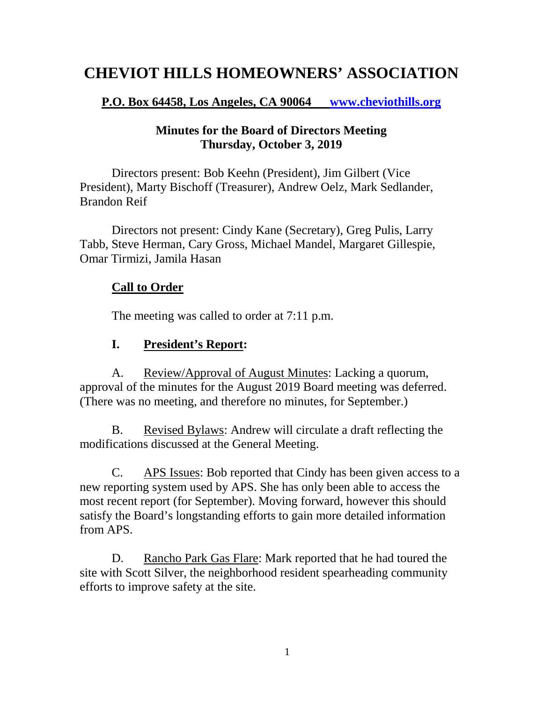# **CHEVIOT HILLS HOMEOWNERS' ASSOCIATION**

#### **P.O. Box 64458, Los Angeles, CA 90064 [www.cheviothills.org](http://www.cheviothills.org/)**

#### **Minutes for the Board of Directors Meeting Thursday, October 3, 2019**

Directors present: Bob Keehn (President), Jim Gilbert (Vice President), Marty Bischoff (Treasurer), Andrew Oelz, Mark Sedlander, Brandon Reif

Directors not present: Cindy Kane (Secretary), Greg Pulis, Larry Tabb, Steve Herman, Cary Gross, Michael Mandel, Margaret Gillespie, Omar Tirmizi, Jamila Hasan

## **Call to Order**

The meeting was called to order at 7:11 p.m.

## **I. President's Report:**

A. Review/Approval of August Minutes: Lacking a quorum, approval of the minutes for the August 2019 Board meeting was deferred. (There was no meeting, and therefore no minutes, for September.)

B. Revised Bylaws: Andrew will circulate a draft reflecting the modifications discussed at the General Meeting.

C. APS Issues: Bob reported that Cindy has been given access to a new reporting system used by APS. She has only been able to access the most recent report (for September). Moving forward, however this should satisfy the Board's longstanding efforts to gain more detailed information from APS.

D. Rancho Park Gas Flare: Mark reported that he had toured the site with Scott Silver, the neighborhood resident spearheading community efforts to improve safety at the site.